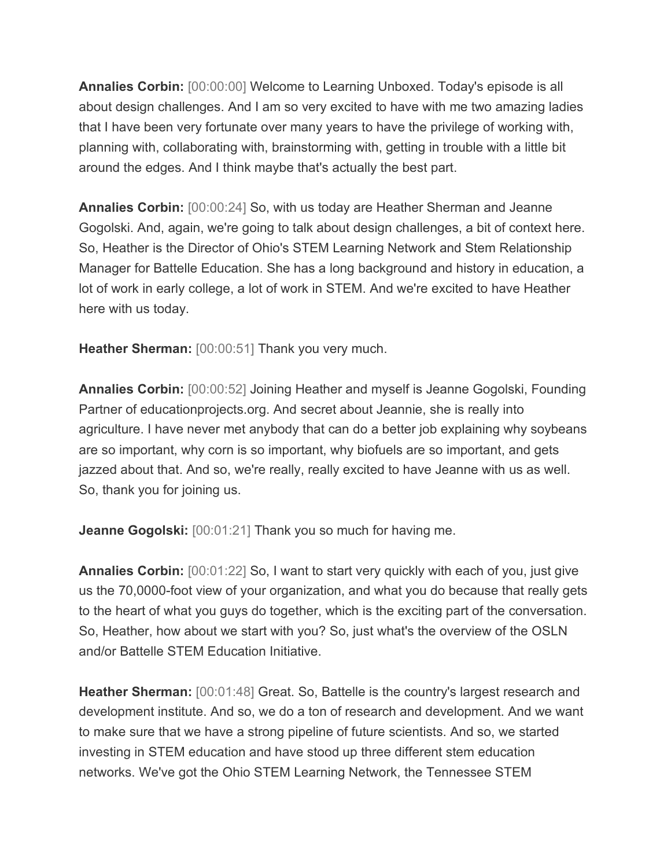**Annalies Corbin:** [00:00:00] Welcome to Learning Unboxed. Today's episode is all about design challenges. And I am so very excited to have with me two amazing ladies that I have been very fortunate over many years to have the privilege of working with, planning with, collaborating with, brainstorming with, getting in trouble with a little bit around the edges. And I think maybe that's actually the best part.

**Annalies Corbin:** [00:00:24] So, with us today are Heather Sherman and Jeanne Gogolski. And, again, we're going to talk about design challenges, a bit of context here. So, Heather is the Director of Ohio's STEM Learning Network and Stem Relationship Manager for Battelle Education. She has a long background and history in education, a lot of work in early college, a lot of work in STEM. And we're excited to have Heather here with us today.

**Heather Sherman:** [00:00:51] Thank you very much.

**Annalies Corbin:** [00:00:52] Joining Heather and myself is Jeanne Gogolski, Founding Partner of educationprojects.org. And secret about Jeannie, she is really into agriculture. I have never met anybody that can do a better job explaining why soybeans are so important, why corn is so important, why biofuels are so important, and gets jazzed about that. And so, we're really, really excited to have Jeanne with us as well. So, thank you for joining us.

**Jeanne Gogolski:** [00:01:21] Thank you so much for having me.

**Annalies Corbin:** [00:01:22] So, I want to start very quickly with each of you, just give us the 70,0000-foot view of your organization, and what you do because that really gets to the heart of what you guys do together, which is the exciting part of the conversation. So, Heather, how about we start with you? So, just what's the overview of the OSLN and/or Battelle STEM Education Initiative.

**Heather Sherman:** [00:01:48] Great. So, Battelle is the country's largest research and development institute. And so, we do a ton of research and development. And we want to make sure that we have a strong pipeline of future scientists. And so, we started investing in STEM education and have stood up three different stem education networks. We've got the Ohio STEM Learning Network, the Tennessee STEM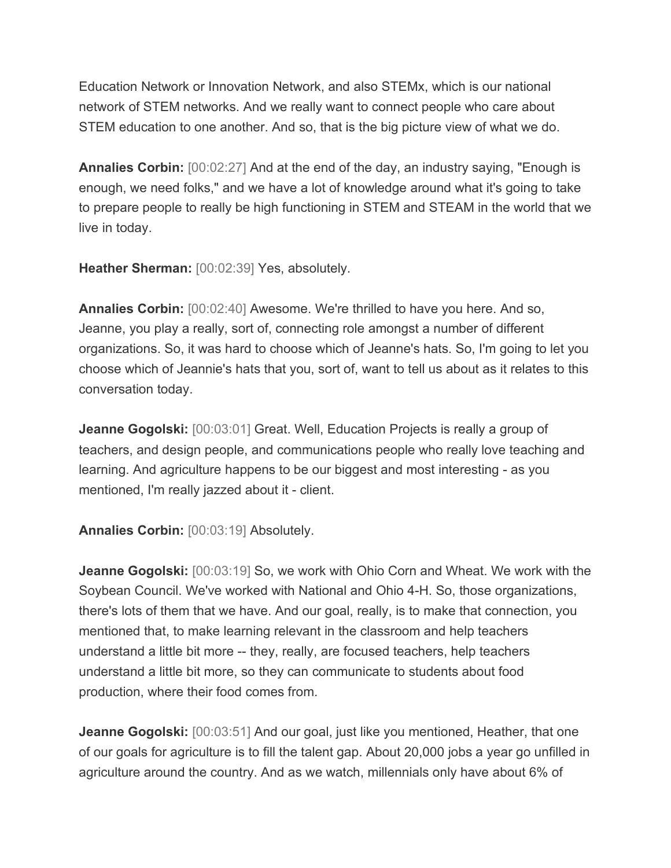Education Network or Innovation Network, and also STEMx, which is our national network of STEM networks. And we really want to connect people who care about STEM education to one another. And so, that is the big picture view of what we do.

**Annalies Corbin:** [00:02:27] And at the end of the day, an industry saying, "Enough is enough, we need folks," and we have a lot of knowledge around what it's going to take to prepare people to really be high functioning in STEM and STEAM in the world that we live in today.

**Heather Sherman:** [00:02:39] Yes, absolutely.

**Annalies Corbin:** [00:02:40] Awesome. We're thrilled to have you here. And so, Jeanne, you play a really, sort of, connecting role amongst a number of different organizations. So, it was hard to choose which of Jeanne's hats. So, I'm going to let you choose which of Jeannie's hats that you, sort of, want to tell us about as it relates to this conversation today.

**Jeanne Gogolski:** [00:03:01] Great. Well, Education Projects is really a group of teachers, and design people, and communications people who really love teaching and learning. And agriculture happens to be our biggest and most interesting - as you mentioned, I'm really jazzed about it - client.

**Annalies Corbin:** [00:03:19] Absolutely.

**Jeanne Gogolski:** [00:03:19] So, we work with Ohio Corn and Wheat. We work with the Soybean Council. We've worked with National and Ohio 4-H. So, those organizations, there's lots of them that we have. And our goal, really, is to make that connection, you mentioned that, to make learning relevant in the classroom and help teachers understand a little bit more -- they, really, are focused teachers, help teachers understand a little bit more, so they can communicate to students about food production, where their food comes from.

**Jeanne Gogolski:** [00:03:51] And our goal, just like you mentioned, Heather, that one of our goals for agriculture is to fill the talent gap. About 20,000 jobs a year go unfilled in agriculture around the country. And as we watch, millennials only have about 6% of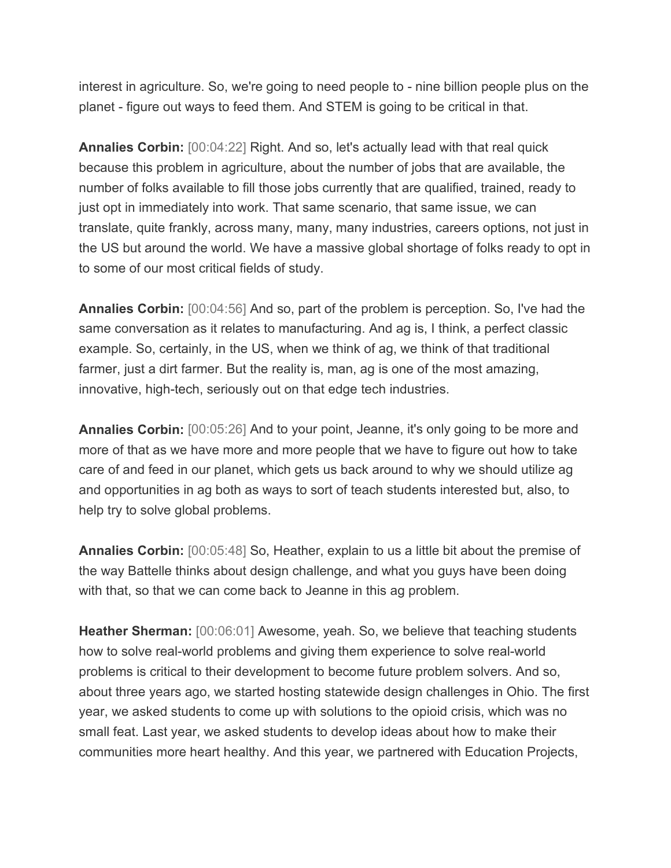interest in agriculture. So, we're going to need people to - nine billion people plus on the planet - figure out ways to feed them. And STEM is going to be critical in that.

**Annalies Corbin:** [00:04:22] Right. And so, let's actually lead with that real quick because this problem in agriculture, about the number of jobs that are available, the number of folks available to fill those jobs currently that are qualified, trained, ready to just opt in immediately into work. That same scenario, that same issue, we can translate, quite frankly, across many, many, many industries, careers options, not just in the US but around the world. We have a massive global shortage of folks ready to opt in to some of our most critical fields of study.

**Annalies Corbin:** [00:04:56] And so, part of the problem is perception. So, I've had the same conversation as it relates to manufacturing. And ag is, I think, a perfect classic example. So, certainly, in the US, when we think of ag, we think of that traditional farmer, just a dirt farmer. But the reality is, man, ag is one of the most amazing, innovative, high-tech, seriously out on that edge tech industries.

**Annalies Corbin:** [00:05:26] And to your point, Jeanne, it's only going to be more and more of that as we have more and more people that we have to figure out how to take care of and feed in our planet, which gets us back around to why we should utilize ag and opportunities in ag both as ways to sort of teach students interested but, also, to help try to solve global problems.

**Annalies Corbin:** [00:05:48] So, Heather, explain to us a little bit about the premise of the way Battelle thinks about design challenge, and what you guys have been doing with that, so that we can come back to Jeanne in this ag problem.

**Heather Sherman:** [00:06:01] Awesome, yeah. So, we believe that teaching students how to solve real-world problems and giving them experience to solve real-world problems is critical to their development to become future problem solvers. And so, about three years ago, we started hosting statewide design challenges in Ohio. The first year, we asked students to come up with solutions to the opioid crisis, which was no small feat. Last year, we asked students to develop ideas about how to make their communities more heart healthy. And this year, we partnered with Education Projects,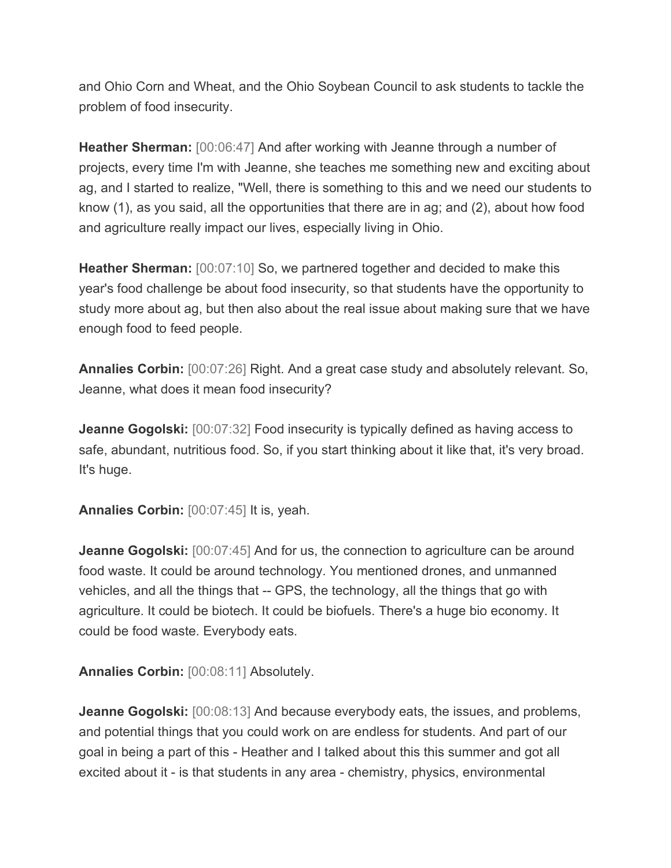and Ohio Corn and Wheat, and the Ohio Soybean Council to ask students to tackle the problem of food insecurity.

**Heather Sherman:** [00:06:47] And after working with Jeanne through a number of projects, every time I'm with Jeanne, she teaches me something new and exciting about ag, and I started to realize, "Well, there is something to this and we need our students to know (1), as you said, all the opportunities that there are in ag; and (2), about how food and agriculture really impact our lives, especially living in Ohio.

**Heather Sherman:** [00:07:10] So, we partnered together and decided to make this year's food challenge be about food insecurity, so that students have the opportunity to study more about ag, but then also about the real issue about making sure that we have enough food to feed people.

**Annalies Corbin:** [00:07:26] Right. And a great case study and absolutely relevant. So, Jeanne, what does it mean food insecurity?

**Jeanne Gogolski:** [00:07:32] Food insecurity is typically defined as having access to safe, abundant, nutritious food. So, if you start thinking about it like that, it's very broad. It's huge.

**Annalies Corbin:** [00:07:45] It is, yeah.

**Jeanne Gogolski:** [00:07:45] And for us, the connection to agriculture can be around food waste. It could be around technology. You mentioned drones, and unmanned vehicles, and all the things that -- GPS, the technology, all the things that go with agriculture. It could be biotech. It could be biofuels. There's a huge bio economy. It could be food waste. Everybody eats.

**Annalies Corbin:** [00:08:11] Absolutely.

**Jeanne Gogolski:** [00:08:13] And because everybody eats, the issues, and problems, and potential things that you could work on are endless for students. And part of our goal in being a part of this - Heather and I talked about this this summer and got all excited about it - is that students in any area - chemistry, physics, environmental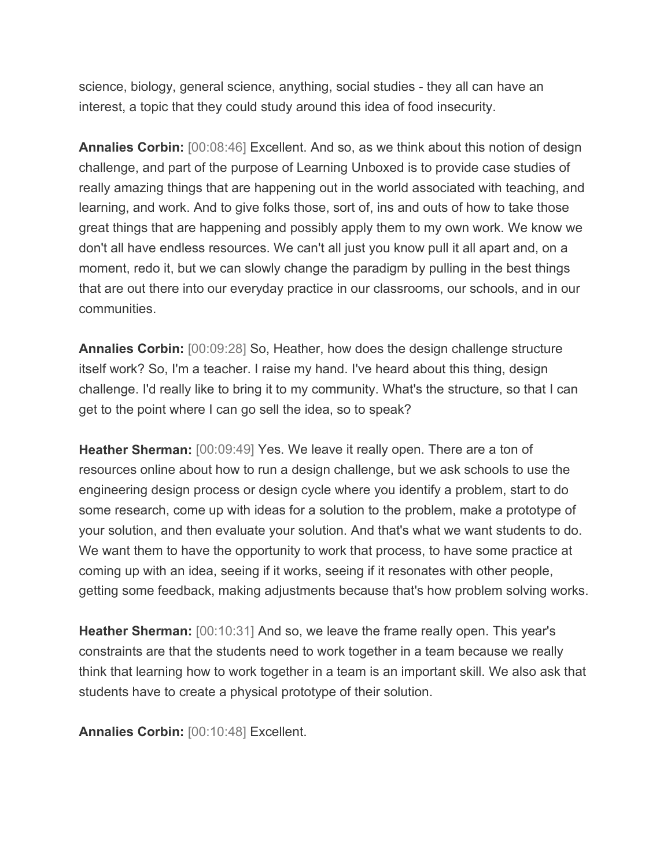science, biology, general science, anything, social studies - they all can have an interest, a topic that they could study around this idea of food insecurity.

**Annalies Corbin:** [00:08:46] Excellent. And so, as we think about this notion of design challenge, and part of the purpose of Learning Unboxed is to provide case studies of really amazing things that are happening out in the world associated with teaching, and learning, and work. And to give folks those, sort of, ins and outs of how to take those great things that are happening and possibly apply them to my own work. We know we don't all have endless resources. We can't all just you know pull it all apart and, on a moment, redo it, but we can slowly change the paradigm by pulling in the best things that are out there into our everyday practice in our classrooms, our schools, and in our communities.

**Annalies Corbin:** [00:09:28] So, Heather, how does the design challenge structure itself work? So, I'm a teacher. I raise my hand. I've heard about this thing, design challenge. I'd really like to bring it to my community. What's the structure, so that I can get to the point where I can go sell the idea, so to speak?

**Heather Sherman:** [00:09:49] Yes. We leave it really open. There are a ton of resources online about how to run a design challenge, but we ask schools to use the engineering design process or design cycle where you identify a problem, start to do some research, come up with ideas for a solution to the problem, make a prototype of your solution, and then evaluate your solution. And that's what we want students to do. We want them to have the opportunity to work that process, to have some practice at coming up with an idea, seeing if it works, seeing if it resonates with other people, getting some feedback, making adjustments because that's how problem solving works.

**Heather Sherman:** [00:10:31] And so, we leave the frame really open. This year's constraints are that the students need to work together in a team because we really think that learning how to work together in a team is an important skill. We also ask that students have to create a physical prototype of their solution.

**Annalies Corbin:** [00:10:48] Excellent.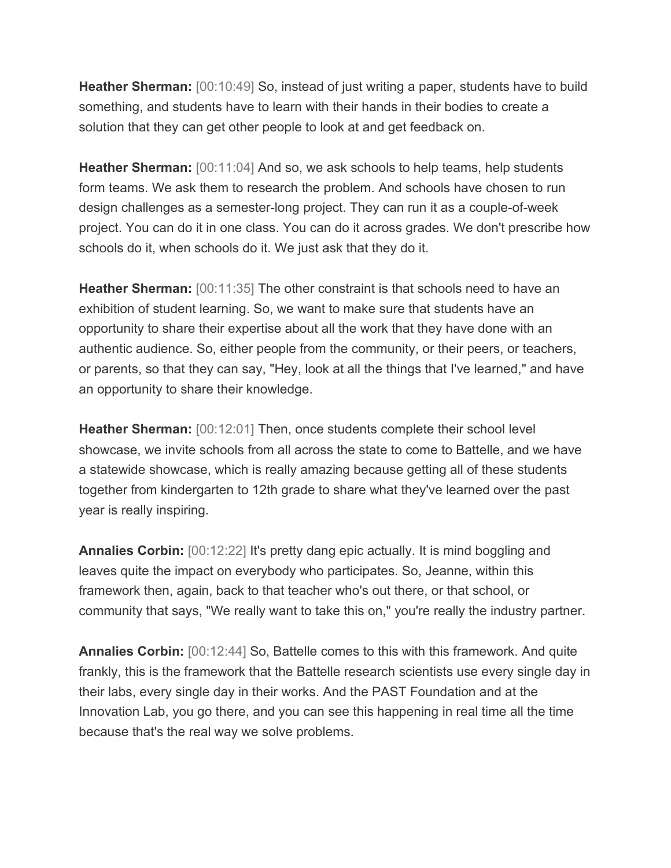**Heather Sherman:** [00:10:49] So, instead of just writing a paper, students have to build something, and students have to learn with their hands in their bodies to create a solution that they can get other people to look at and get feedback on.

**Heather Sherman:** [00:11:04] And so, we ask schools to help teams, help students form teams. We ask them to research the problem. And schools have chosen to run design challenges as a semester-long project. They can run it as a couple-of-week project. You can do it in one class. You can do it across grades. We don't prescribe how schools do it, when schools do it. We just ask that they do it.

**Heather Sherman:** [00:11:35] The other constraint is that schools need to have an exhibition of student learning. So, we want to make sure that students have an opportunity to share their expertise about all the work that they have done with an authentic audience. So, either people from the community, or their peers, or teachers, or parents, so that they can say, "Hey, look at all the things that I've learned," and have an opportunity to share their knowledge.

**Heather Sherman:** [00:12:01] Then, once students complete their school level showcase, we invite schools from all across the state to come to Battelle, and we have a statewide showcase, which is really amazing because getting all of these students together from kindergarten to 12th grade to share what they've learned over the past year is really inspiring.

**Annalies Corbin:** [00:12:22] It's pretty dang epic actually. It is mind boggling and leaves quite the impact on everybody who participates. So, Jeanne, within this framework then, again, back to that teacher who's out there, or that school, or community that says, "We really want to take this on," you're really the industry partner.

**Annalies Corbin:** [00:12:44] So, Battelle comes to this with this framework. And quite frankly, this is the framework that the Battelle research scientists use every single day in their labs, every single day in their works. And the PAST Foundation and at the Innovation Lab, you go there, and you can see this happening in real time all the time because that's the real way we solve problems.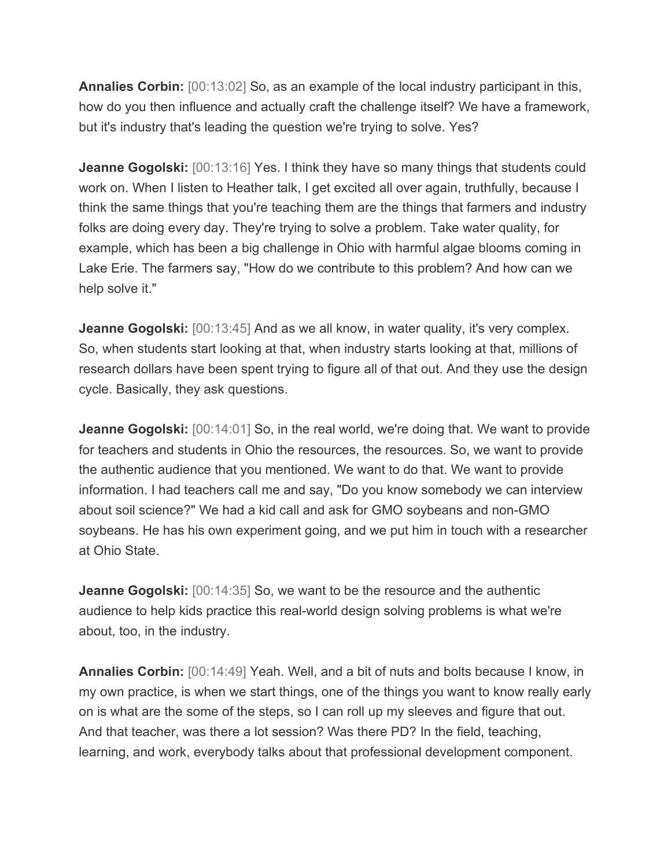**Annalies Corbin:** [00:13:02] So, as an example of the local industry participant in this, how do you then influence and actually craft the challenge itself? We have a framework, but it's industry that's leading the question we're trying to solve. Yes?

**Jeanne Gogolski:** [00:13:16] Yes. I think they have so many things that students could work on. When I listen to Heather talk, I get excited all over again, truthfully, because I think the same things that you're teaching them are the things that farmers and industry folks are doing every day. They're trying to solve a problem. Take water quality, for example, which has been a big challenge in Ohio with harmful algae blooms coming in Lake Erie. The farmers say, "How do we contribute to this problem? And how can we help solve it."

**Jeanne Gogolski:** [00:13:45] And as we all know, in water quality, it's very complex. So, when students start looking at that, when industry starts looking at that, millions of research dollars have been spent trying to figure all of that out. And they use the design cycle. Basically, they ask questions.

**Jeanne Gogolski:** [00:14:01] So, in the real world, we're doing that. We want to provide for teachers and students in Ohio the resources, the resources. So, we want to provide the authentic audience that you mentioned. We want to do that. We want to provide information. I had teachers call me and say, "Do you know somebody we can interview about soil science?" We had a kid call and ask for GMO soybeans and non-GMO soybeans. He has his own experiment going, and we put him in touch with a researcher at Ohio State.

**Jeanne Gogolski:** [00:14:35] So, we want to be the resource and the authentic audience to help kids practice this real-world design solving problems is what we're about, too, in the industry.

**Annalies Corbin:** [00:14:49] Yeah. Well, and a bit of nuts and bolts because I know, in my own practice, is when we start things, one of the things you want to know really early on is what are the some of the steps, so I can roll up my sleeves and figure that out. And that teacher, was there a lot session? Was there PD? In the field, teaching, learning, and work, everybody talks about that professional development component.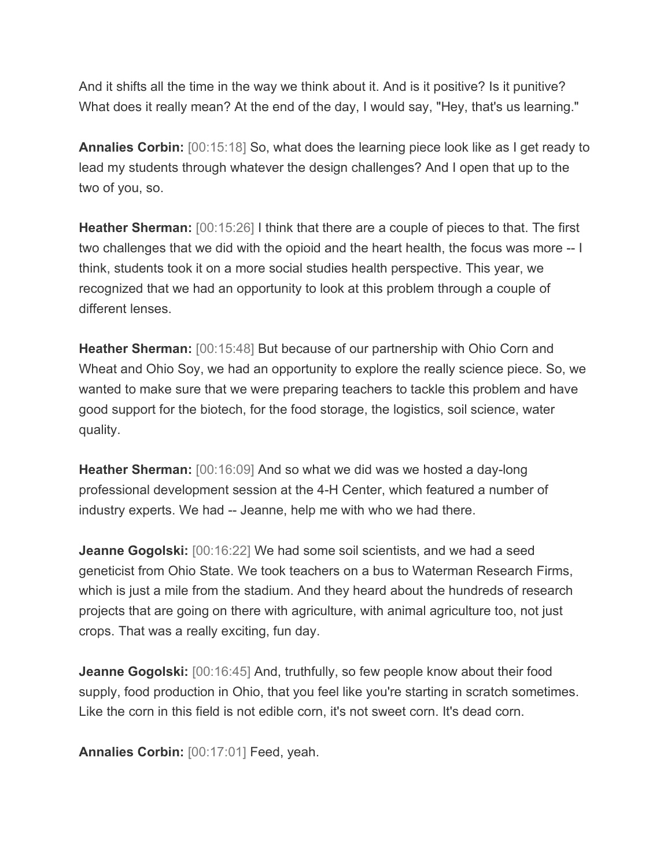And it shifts all the time in the way we think about it. And is it positive? Is it punitive? What does it really mean? At the end of the day, I would say, "Hey, that's us learning."

**Annalies Corbin:** [00:15:18] So, what does the learning piece look like as I get ready to lead my students through whatever the design challenges? And I open that up to the two of you, so.

**Heather Sherman:** [00:15:26] I think that there are a couple of pieces to that. The first two challenges that we did with the opioid and the heart health, the focus was more -- I think, students took it on a more social studies health perspective. This year, we recognized that we had an opportunity to look at this problem through a couple of different lenses.

**Heather Sherman:** [00:15:48] But because of our partnership with Ohio Corn and Wheat and Ohio Soy, we had an opportunity to explore the really science piece. So, we wanted to make sure that we were preparing teachers to tackle this problem and have good support for the biotech, for the food storage, the logistics, soil science, water quality.

**Heather Sherman:** [00:16:09] And so what we did was we hosted a day-long professional development session at the 4-H Center, which featured a number of industry experts. We had -- Jeanne, help me with who we had there.

**Jeanne Gogolski:** [00:16:22] We had some soil scientists, and we had a seed geneticist from Ohio State. We took teachers on a bus to Waterman Research Firms, which is just a mile from the stadium. And they heard about the hundreds of research projects that are going on there with agriculture, with animal agriculture too, not just crops. That was a really exciting, fun day.

**Jeanne Gogolski:** [00:16:45] And, truthfully, so few people know about their food supply, food production in Ohio, that you feel like you're starting in scratch sometimes. Like the corn in this field is not edible corn, it's not sweet corn. It's dead corn.

**Annalies Corbin:** [00:17:01] Feed, yeah.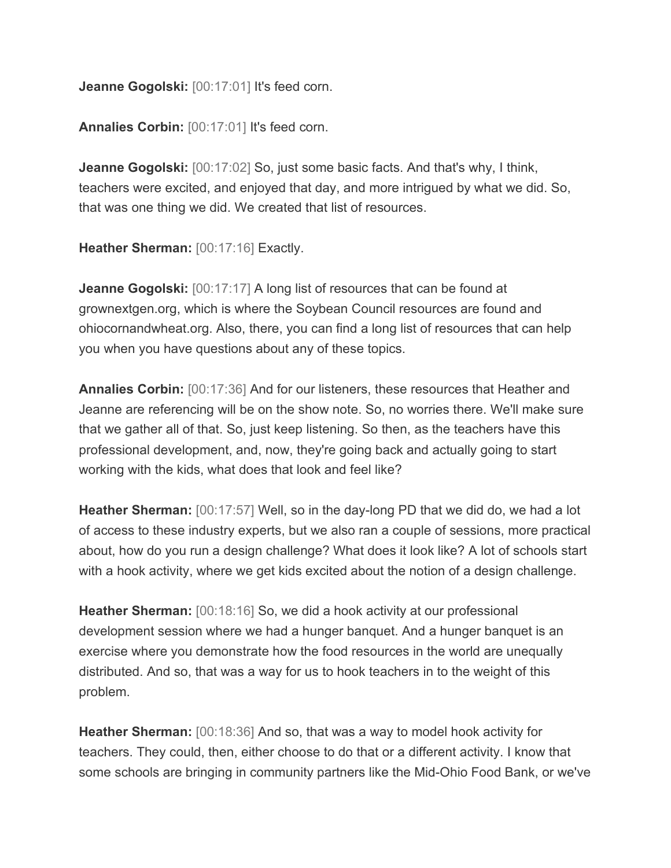**Jeanne Gogolski:** [00:17:01] It's feed corn.

**Annalies Corbin:** [00:17:01] It's feed corn.

**Jeanne Gogolski:** [00:17:02] So, just some basic facts. And that's why, I think, teachers were excited, and enjoyed that day, and more intrigued by what we did. So, that was one thing we did. We created that list of resources.

**Heather Sherman:** [00:17:16] Exactly.

**Jeanne Gogolski:** [00:17:17] A long list of resources that can be found at grownextgen.org, which is where the Soybean Council resources are found and ohiocornandwheat.org. Also, there, you can find a long list of resources that can help you when you have questions about any of these topics.

**Annalies Corbin:** [00:17:36] And for our listeners, these resources that Heather and Jeanne are referencing will be on the show note. So, no worries there. We'll make sure that we gather all of that. So, just keep listening. So then, as the teachers have this professional development, and, now, they're going back and actually going to start working with the kids, what does that look and feel like?

**Heather Sherman:** [00:17:57] Well, so in the day-long PD that we did do, we had a lot of access to these industry experts, but we also ran a couple of sessions, more practical about, how do you run a design challenge? What does it look like? A lot of schools start with a hook activity, where we get kids excited about the notion of a design challenge.

**Heather Sherman:** [00:18:16] So, we did a hook activity at our professional development session where we had a hunger banquet. And a hunger banquet is an exercise where you demonstrate how the food resources in the world are unequally distributed. And so, that was a way for us to hook teachers in to the weight of this problem.

**Heather Sherman:** [00:18:36] And so, that was a way to model hook activity for teachers. They could, then, either choose to do that or a different activity. I know that some schools are bringing in community partners like the Mid-Ohio Food Bank, or we've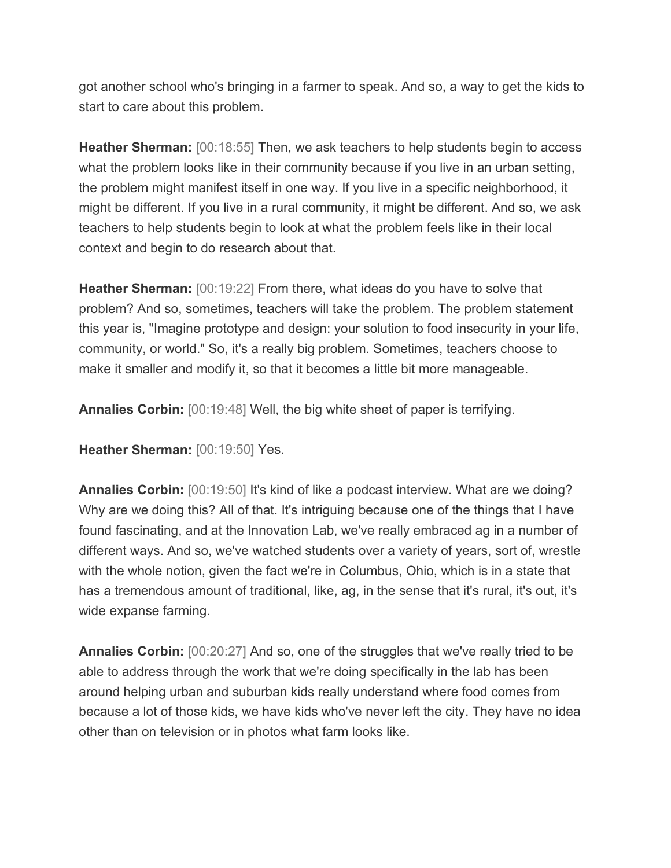got another school who's bringing in a farmer to speak. And so, a way to get the kids to start to care about this problem.

**Heather Sherman:** [00:18:55] Then, we ask teachers to help students begin to access what the problem looks like in their community because if you live in an urban setting, the problem might manifest itself in one way. If you live in a specific neighborhood, it might be different. If you live in a rural community, it might be different. And so, we ask teachers to help students begin to look at what the problem feels like in their local context and begin to do research about that.

**Heather Sherman:** [00:19:22] From there, what ideas do you have to solve that problem? And so, sometimes, teachers will take the problem. The problem statement this year is, "Imagine prototype and design: your solution to food insecurity in your life, community, or world." So, it's a really big problem. Sometimes, teachers choose to make it smaller and modify it, so that it becomes a little bit more manageable.

**Annalies Corbin:** [00:19:48] Well, the big white sheet of paper is terrifying.

**Heather Sherman:** [00:19:50] Yes.

**Annalies Corbin:** [00:19:50] It's kind of like a podcast interview. What are we doing? Why are we doing this? All of that. It's intriguing because one of the things that I have found fascinating, and at the Innovation Lab, we've really embraced ag in a number of different ways. And so, we've watched students over a variety of years, sort of, wrestle with the whole notion, given the fact we're in Columbus, Ohio, which is in a state that has a tremendous amount of traditional, like, ag, in the sense that it's rural, it's out, it's wide expanse farming.

**Annalies Corbin:** [00:20:27] And so, one of the struggles that we've really tried to be able to address through the work that we're doing specifically in the lab has been around helping urban and suburban kids really understand where food comes from because a lot of those kids, we have kids who've never left the city. They have no idea other than on television or in photos what farm looks like.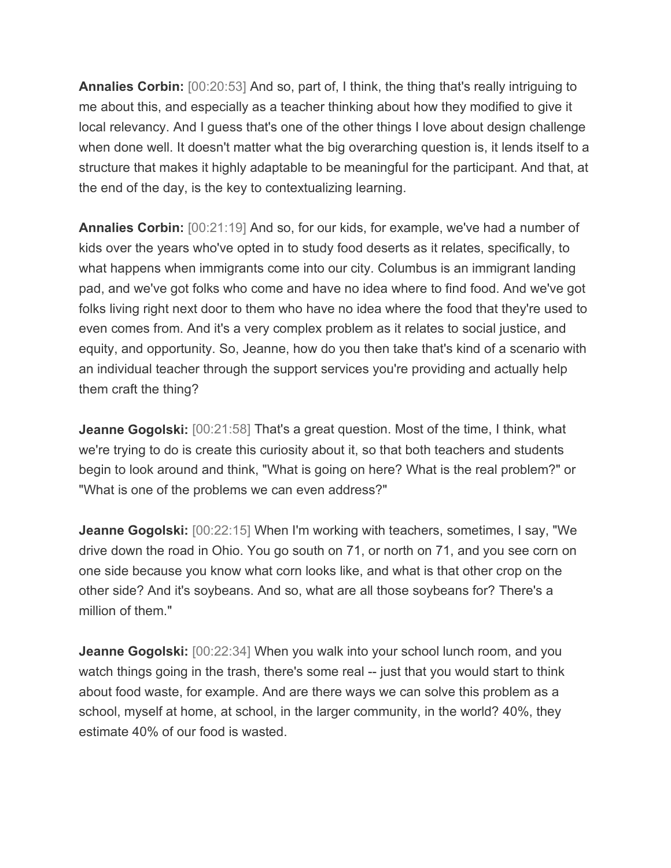**Annalies Corbin:** [00:20:53] And so, part of, I think, the thing that's really intriguing to me about this, and especially as a teacher thinking about how they modified to give it local relevancy. And I guess that's one of the other things I love about design challenge when done well. It doesn't matter what the big overarching question is, it lends itself to a structure that makes it highly adaptable to be meaningful for the participant. And that, at the end of the day, is the key to contextualizing learning.

**Annalies Corbin:** [00:21:19] And so, for our kids, for example, we've had a number of kids over the years who've opted in to study food deserts as it relates, specifically, to what happens when immigrants come into our city. Columbus is an immigrant landing pad, and we've got folks who come and have no idea where to find food. And we've got folks living right next door to them who have no idea where the food that they're used to even comes from. And it's a very complex problem as it relates to social justice, and equity, and opportunity. So, Jeanne, how do you then take that's kind of a scenario with an individual teacher through the support services you're providing and actually help them craft the thing?

**Jeanne Gogolski:** [00:21:58] That's a great question. Most of the time, I think, what we're trying to do is create this curiosity about it, so that both teachers and students begin to look around and think, "What is going on here? What is the real problem?" or "What is one of the problems we can even address?"

**Jeanne Gogolski:** [00:22:15] When I'm working with teachers, sometimes, I say, "We drive down the road in Ohio. You go south on 71, or north on 71, and you see corn on one side because you know what corn looks like, and what is that other crop on the other side? And it's soybeans. And so, what are all those soybeans for? There's a million of them."

**Jeanne Gogolski:** [00:22:34] When you walk into your school lunch room, and you watch things going in the trash, there's some real -- just that you would start to think about food waste, for example. And are there ways we can solve this problem as a school, myself at home, at school, in the larger community, in the world? 40%, they estimate 40% of our food is wasted.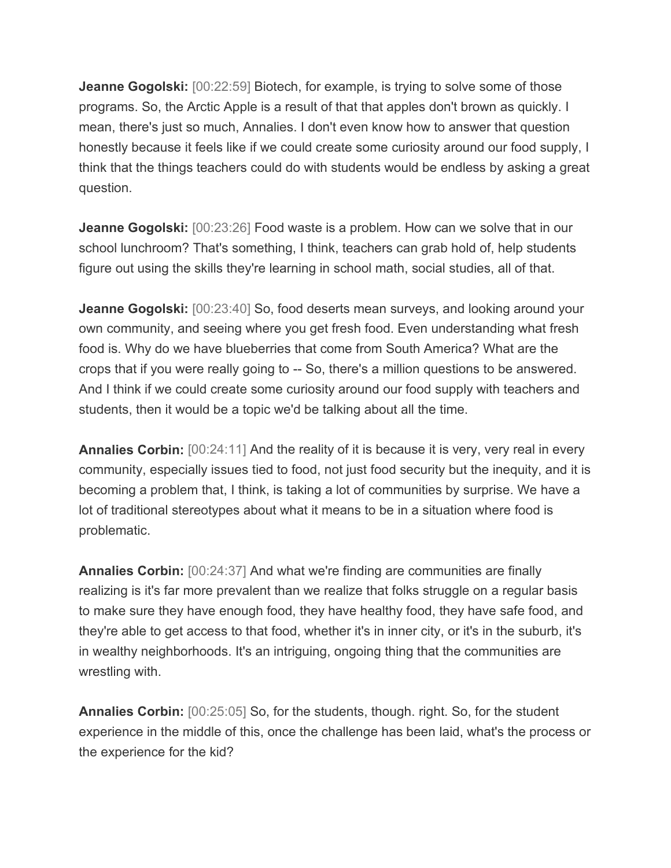**Jeanne Gogolski:** [00:22:59] Biotech, for example, is trying to solve some of those programs. So, the Arctic Apple is a result of that that apples don't brown as quickly. I mean, there's just so much, Annalies. I don't even know how to answer that question honestly because it feels like if we could create some curiosity around our food supply, I think that the things teachers could do with students would be endless by asking a great question.

**Jeanne Gogolski:** [00:23:26] Food waste is a problem. How can we solve that in our school lunchroom? That's something, I think, teachers can grab hold of, help students figure out using the skills they're learning in school math, social studies, all of that.

**Jeanne Gogolski:** [00:23:40] So, food deserts mean surveys, and looking around your own community, and seeing where you get fresh food. Even understanding what fresh food is. Why do we have blueberries that come from South America? What are the crops that if you were really going to -- So, there's a million questions to be answered. And I think if we could create some curiosity around our food supply with teachers and students, then it would be a topic we'd be talking about all the time.

**Annalies Corbin:** [00:24:11] And the reality of it is because it is very, very real in every community, especially issues tied to food, not just food security but the inequity, and it is becoming a problem that, I think, is taking a lot of communities by surprise. We have a lot of traditional stereotypes about what it means to be in a situation where food is problematic.

**Annalies Corbin:** [00:24:37] And what we're finding are communities are finally realizing is it's far more prevalent than we realize that folks struggle on a regular basis to make sure they have enough food, they have healthy food, they have safe food, and they're able to get access to that food, whether it's in inner city, or it's in the suburb, it's in wealthy neighborhoods. It's an intriguing, ongoing thing that the communities are wrestling with.

**Annalies Corbin:** [00:25:05] So, for the students, though. right. So, for the student experience in the middle of this, once the challenge has been laid, what's the process or the experience for the kid?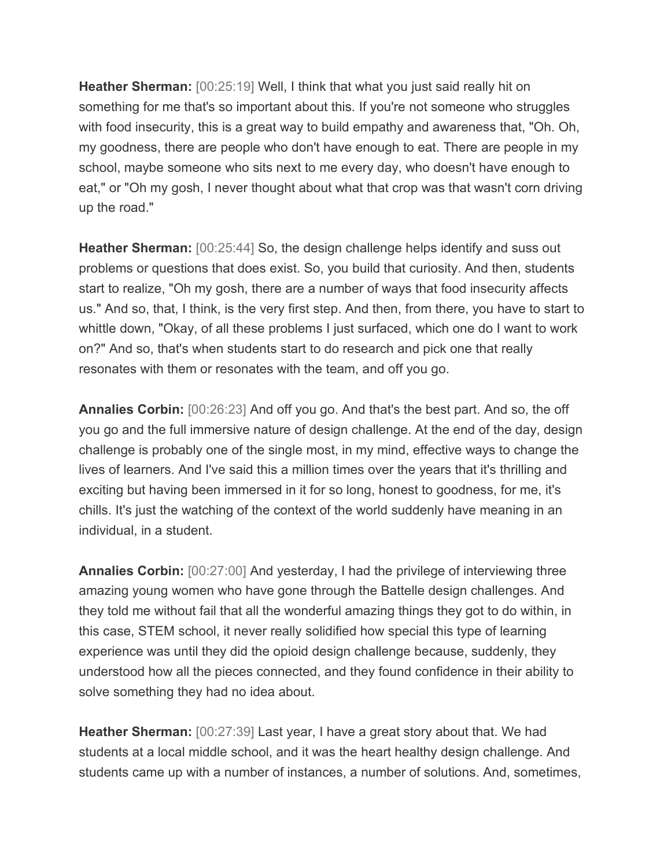**Heather Sherman:** [00:25:19] Well, I think that what you just said really hit on something for me that's so important about this. If you're not someone who struggles with food insecurity, this is a great way to build empathy and awareness that, "Oh. Oh, my goodness, there are people who don't have enough to eat. There are people in my school, maybe someone who sits next to me every day, who doesn't have enough to eat," or "Oh my gosh, I never thought about what that crop was that wasn't corn driving up the road."

**Heather Sherman:** [00:25:44] So, the design challenge helps identify and suss out problems or questions that does exist. So, you build that curiosity. And then, students start to realize, "Oh my gosh, there are a number of ways that food insecurity affects us." And so, that, I think, is the very first step. And then, from there, you have to start to whittle down, "Okay, of all these problems I just surfaced, which one do I want to work on?" And so, that's when students start to do research and pick one that really resonates with them or resonates with the team, and off you go.

**Annalies Corbin:** [00:26:23] And off you go. And that's the best part. And so, the off you go and the full immersive nature of design challenge. At the end of the day, design challenge is probably one of the single most, in my mind, effective ways to change the lives of learners. And I've said this a million times over the years that it's thrilling and exciting but having been immersed in it for so long, honest to goodness, for me, it's chills. It's just the watching of the context of the world suddenly have meaning in an individual, in a student.

**Annalies Corbin:** [00:27:00] And yesterday, I had the privilege of interviewing three amazing young women who have gone through the Battelle design challenges. And they told me without fail that all the wonderful amazing things they got to do within, in this case, STEM school, it never really solidified how special this type of learning experience was until they did the opioid design challenge because, suddenly, they understood how all the pieces connected, and they found confidence in their ability to solve something they had no idea about.

**Heather Sherman:** [00:27:39] Last year, I have a great story about that. We had students at a local middle school, and it was the heart healthy design challenge. And students came up with a number of instances, a number of solutions. And, sometimes,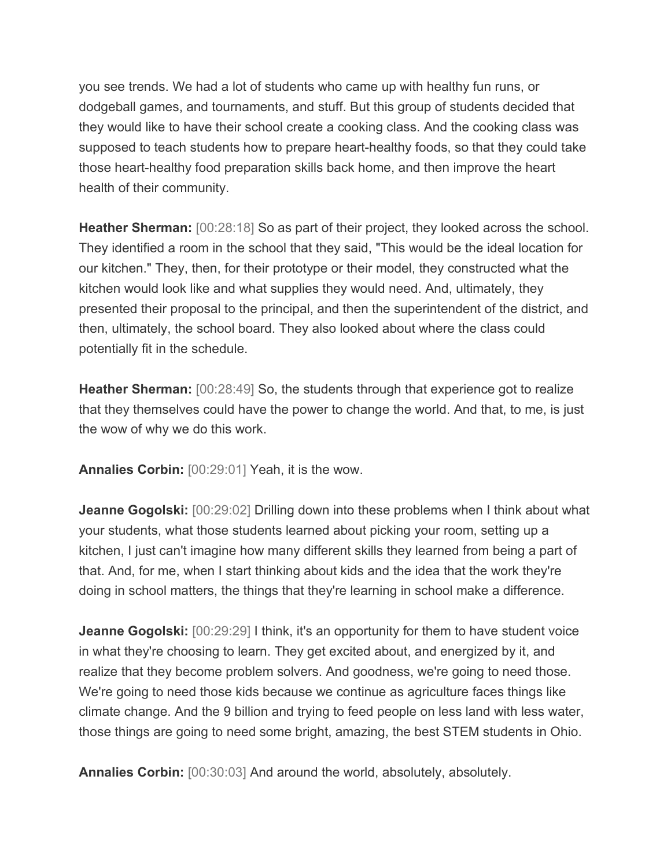you see trends. We had a lot of students who came up with healthy fun runs, or dodgeball games, and tournaments, and stuff. But this group of students decided that they would like to have their school create a cooking class. And the cooking class was supposed to teach students how to prepare heart-healthy foods, so that they could take those heart-healthy food preparation skills back home, and then improve the heart health of their community.

**Heather Sherman:** [00:28:18] So as part of their project, they looked across the school. They identified a room in the school that they said, "This would be the ideal location for our kitchen." They, then, for their prototype or their model, they constructed what the kitchen would look like and what supplies they would need. And, ultimately, they presented their proposal to the principal, and then the superintendent of the district, and then, ultimately, the school board. They also looked about where the class could potentially fit in the schedule.

**Heather Sherman:** [00:28:49] So, the students through that experience got to realize that they themselves could have the power to change the world. And that, to me, is just the wow of why we do this work.

**Annalies Corbin:** [00:29:01] Yeah, it is the wow.

**Jeanne Gogolski:** [00:29:02] Drilling down into these problems when I think about what your students, what those students learned about picking your room, setting up a kitchen, I just can't imagine how many different skills they learned from being a part of that. And, for me, when I start thinking about kids and the idea that the work they're doing in school matters, the things that they're learning in school make a difference.

**Jeanne Gogolski:** [00:29:29] I think, it's an opportunity for them to have student voice in what they're choosing to learn. They get excited about, and energized by it, and realize that they become problem solvers. And goodness, we're going to need those. We're going to need those kids because we continue as agriculture faces things like climate change. And the 9 billion and trying to feed people on less land with less water, those things are going to need some bright, amazing, the best STEM students in Ohio.

**Annalies Corbin:** [00:30:03] And around the world, absolutely, absolutely.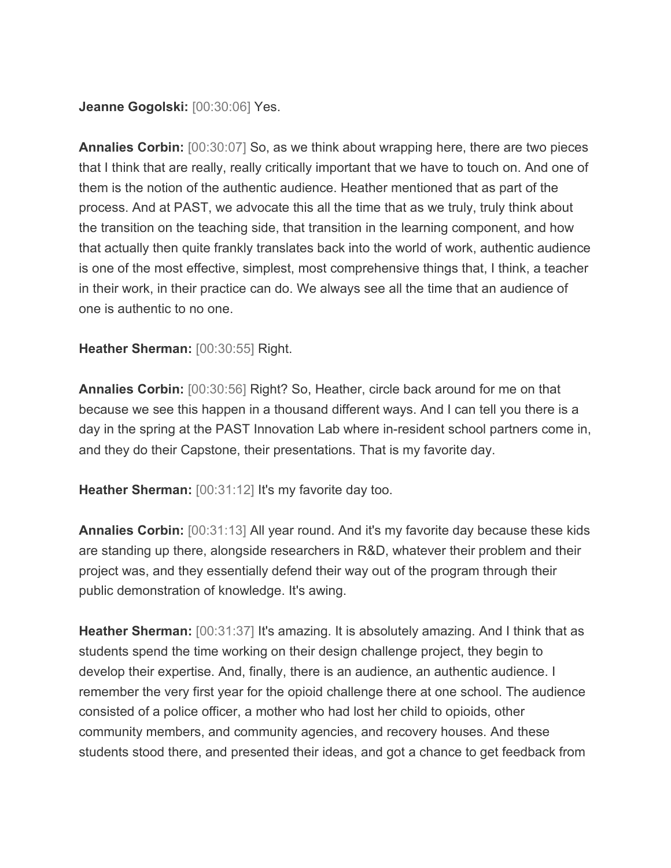## **Jeanne Gogolski:** [00:30:06] Yes.

**Annalies Corbin:** [00:30:07] So, as we think about wrapping here, there are two pieces that I think that are really, really critically important that we have to touch on. And one of them is the notion of the authentic audience. Heather mentioned that as part of the process. And at PAST, we advocate this all the time that as we truly, truly think about the transition on the teaching side, that transition in the learning component, and how that actually then quite frankly translates back into the world of work, authentic audience is one of the most effective, simplest, most comprehensive things that, I think, a teacher in their work, in their practice can do. We always see all the time that an audience of one is authentic to no one.

## **Heather Sherman:** [00:30:55] Right.

**Annalies Corbin:** [00:30:56] Right? So, Heather, circle back around for me on that because we see this happen in a thousand different ways. And I can tell you there is a day in the spring at the PAST Innovation Lab where in-resident school partners come in, and they do their Capstone, their presentations. That is my favorite day.

**Heather Sherman:** [00:31:12] It's my favorite day too.

**Annalies Corbin:** [00:31:13] All year round. And it's my favorite day because these kids are standing up there, alongside researchers in R&D, whatever their problem and their project was, and they essentially defend their way out of the program through their public demonstration of knowledge. It's awing.

**Heather Sherman:** [00:31:37] It's amazing. It is absolutely amazing. And I think that as students spend the time working on their design challenge project, they begin to develop their expertise. And, finally, there is an audience, an authentic audience. I remember the very first year for the opioid challenge there at one school. The audience consisted of a police officer, a mother who had lost her child to opioids, other community members, and community agencies, and recovery houses. And these students stood there, and presented their ideas, and got a chance to get feedback from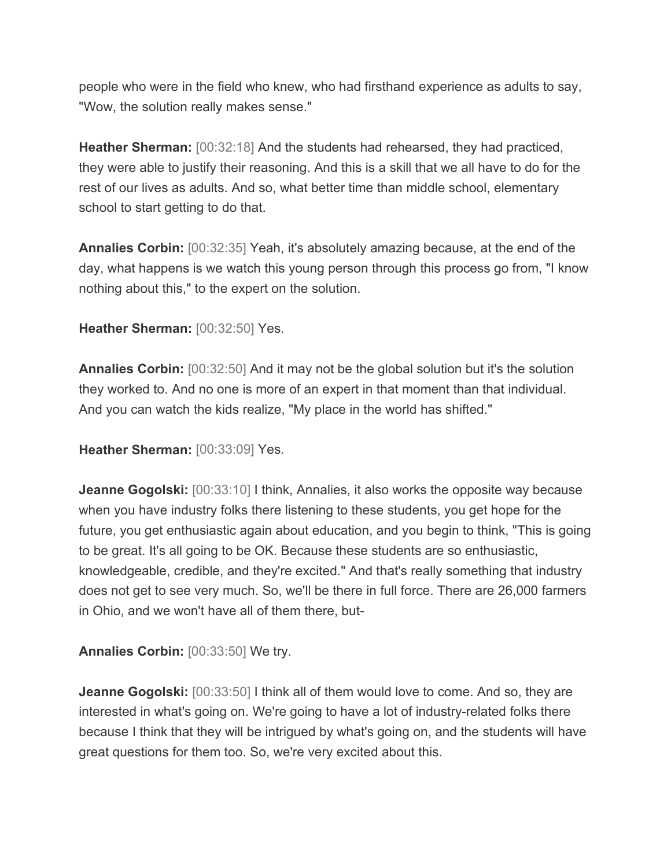people who were in the field who knew, who had firsthand experience as adults to say, "Wow, the solution really makes sense."

**Heather Sherman:** [00:32:18] And the students had rehearsed, they had practiced, they were able to justify their reasoning. And this is a skill that we all have to do for the rest of our lives as adults. And so, what better time than middle school, elementary school to start getting to do that.

**Annalies Corbin:** [00:32:35] Yeah, it's absolutely amazing because, at the end of the day, what happens is we watch this young person through this process go from, "I know nothing about this," to the expert on the solution.

**Heather Sherman:** [00:32:50] Yes.

**Annalies Corbin:** [00:32:50] And it may not be the global solution but it's the solution they worked to. And no one is more of an expert in that moment than that individual. And you can watch the kids realize, "My place in the world has shifted."

**Heather Sherman:** [00:33:09] Yes.

**Jeanne Gogolski:** [00:33:10] I think, Annalies, it also works the opposite way because when you have industry folks there listening to these students, you get hope for the future, you get enthusiastic again about education, and you begin to think, "This is going to be great. It's all going to be OK. Because these students are so enthusiastic, knowledgeable, credible, and they're excited." And that's really something that industry does not get to see very much. So, we'll be there in full force. There are 26,000 farmers in Ohio, and we won't have all of them there, but-

**Annalies Corbin:** [00:33:50] We try.

**Jeanne Gogolski:** [00:33:50] I think all of them would love to come. And so, they are interested in what's going on. We're going to have a lot of industry-related folks there because I think that they will be intrigued by what's going on, and the students will have great questions for them too. So, we're very excited about this.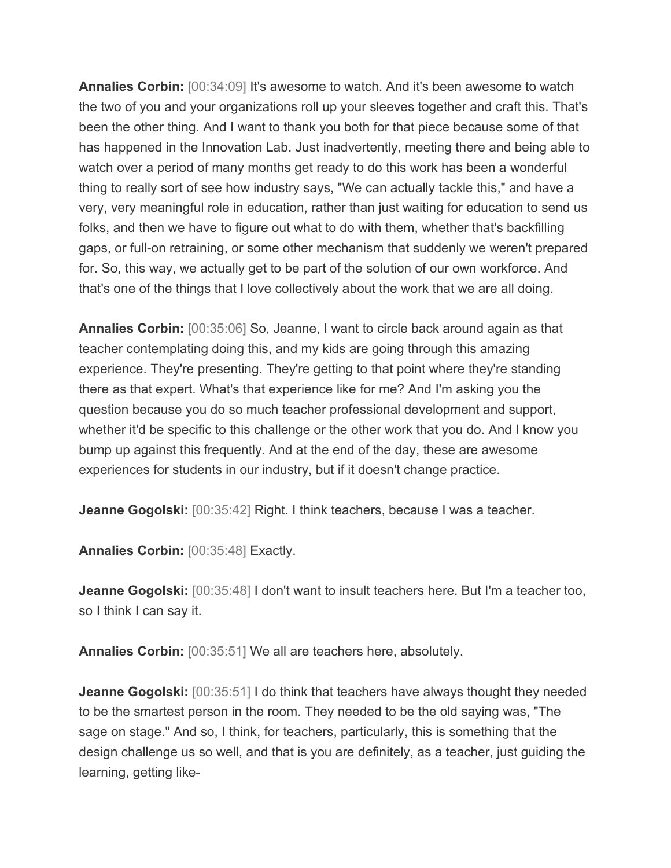**Annalies Corbin:** [00:34:09] It's awesome to watch. And it's been awesome to watch the two of you and your organizations roll up your sleeves together and craft this. That's been the other thing. And I want to thank you both for that piece because some of that has happened in the Innovation Lab. Just inadvertently, meeting there and being able to watch over a period of many months get ready to do this work has been a wonderful thing to really sort of see how industry says, "We can actually tackle this," and have a very, very meaningful role in education, rather than just waiting for education to send us folks, and then we have to figure out what to do with them, whether that's backfilling gaps, or full-on retraining, or some other mechanism that suddenly we weren't prepared for. So, this way, we actually get to be part of the solution of our own workforce. And that's one of the things that I love collectively about the work that we are all doing.

**Annalies Corbin:** [00:35:06] So, Jeanne, I want to circle back around again as that teacher contemplating doing this, and my kids are going through this amazing experience. They're presenting. They're getting to that point where they're standing there as that expert. What's that experience like for me? And I'm asking you the question because you do so much teacher professional development and support, whether it'd be specific to this challenge or the other work that you do. And I know you bump up against this frequently. And at the end of the day, these are awesome experiences for students in our industry, but if it doesn't change practice.

**Jeanne Gogolski:** [00:35:42] Right. I think teachers, because I was a teacher.

**Annalies Corbin:** [00:35:48] Exactly.

**Jeanne Gogolski:** [00:35:48] I don't want to insult teachers here. But I'm a teacher too, so I think I can say it.

**Annalies Corbin:** [00:35:51] We all are teachers here, absolutely.

**Jeanne Gogolski:** [00:35:51] I do think that teachers have always thought they needed to be the smartest person in the room. They needed to be the old saying was, "The sage on stage." And so, I think, for teachers, particularly, this is something that the design challenge us so well, and that is you are definitely, as a teacher, just guiding the learning, getting like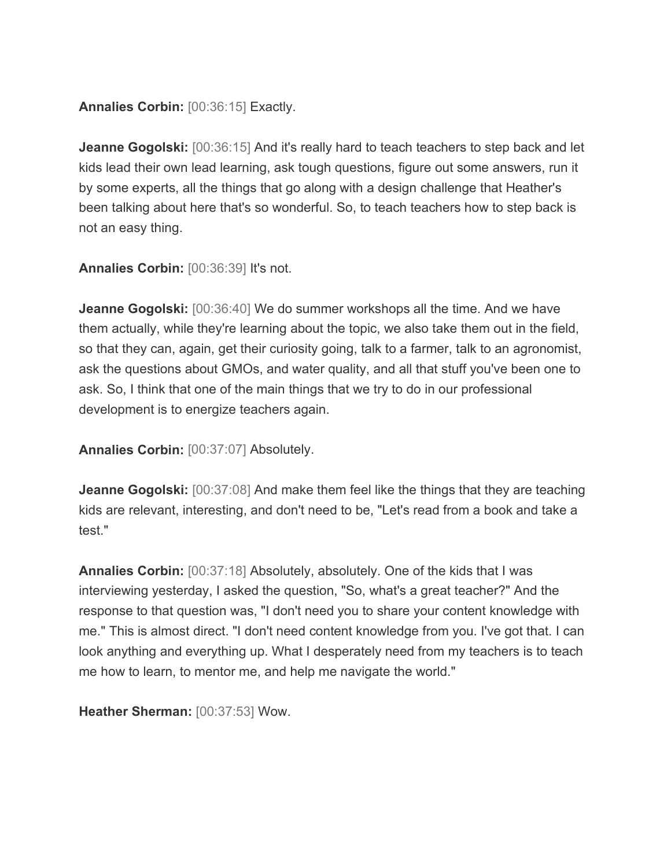**Annalies Corbin:** [00:36:15] Exactly.

**Jeanne Gogolski:** [00:36:15] And it's really hard to teach teachers to step back and let kids lead their own lead learning, ask tough questions, figure out some answers, run it by some experts, all the things that go along with a design challenge that Heather's been talking about here that's so wonderful. So, to teach teachers how to step back is not an easy thing.

**Annalies Corbin:** [00:36:39] It's not.

**Jeanne Gogolski:** [00:36:40] We do summer workshops all the time. And we have them actually, while they're learning about the topic, we also take them out in the field, so that they can, again, get their curiosity going, talk to a farmer, talk to an agronomist, ask the questions about GMOs, and water quality, and all that stuff you've been one to ask. So, I think that one of the main things that we try to do in our professional development is to energize teachers again.

**Annalies Corbin:** [00:37:07] Absolutely.

**Jeanne Gogolski:** [00:37:08] And make them feel like the things that they are teaching kids are relevant, interesting, and don't need to be, "Let's read from a book and take a test."

**Annalies Corbin:** [00:37:18] Absolutely, absolutely. One of the kids that I was interviewing yesterday, I asked the question, "So, what's a great teacher?" And the response to that question was, "I don't need you to share your content knowledge with me." This is almost direct. "I don't need content knowledge from you. I've got that. I can look anything and everything up. What I desperately need from my teachers is to teach me how to learn, to mentor me, and help me navigate the world."

**Heather Sherman:** [00:37:53] Wow.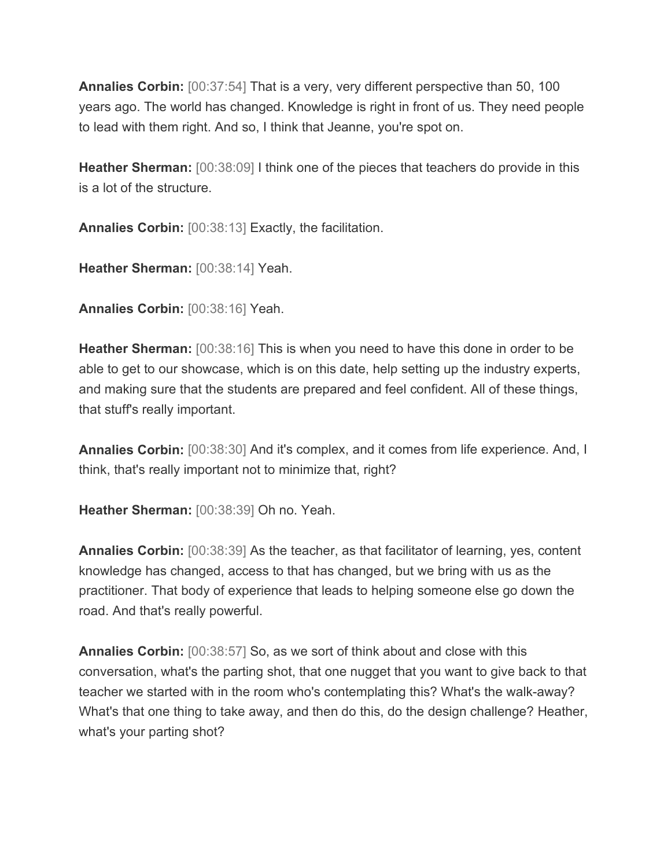**Annalies Corbin:** [00:37:54] That is a very, very different perspective than 50, 100 years ago. The world has changed. Knowledge is right in front of us. They need people to lead with them right. And so, I think that Jeanne, you're spot on.

**Heather Sherman:** [00:38:09] I think one of the pieces that teachers do provide in this is a lot of the structure.

**Annalies Corbin:** [00:38:13] Exactly, the facilitation.

**Heather Sherman:** [00:38:14] Yeah.

**Annalies Corbin:** [00:38:16] Yeah.

**Heather Sherman:** [00:38:16] This is when you need to have this done in order to be able to get to our showcase, which is on this date, help setting up the industry experts, and making sure that the students are prepared and feel confident. All of these things, that stuff's really important.

**Annalies Corbin:** [00:38:30] And it's complex, and it comes from life experience. And, I think, that's really important not to minimize that, right?

**Heather Sherman:** [00:38:39] Oh no. Yeah.

**Annalies Corbin:** [00:38:39] As the teacher, as that facilitator of learning, yes, content knowledge has changed, access to that has changed, but we bring with us as the practitioner. That body of experience that leads to helping someone else go down the road. And that's really powerful.

**Annalies Corbin:** [00:38:57] So, as we sort of think about and close with this conversation, what's the parting shot, that one nugget that you want to give back to that teacher we started with in the room who's contemplating this? What's the walk-away? What's that one thing to take away, and then do this, do the design challenge? Heather, what's your parting shot?